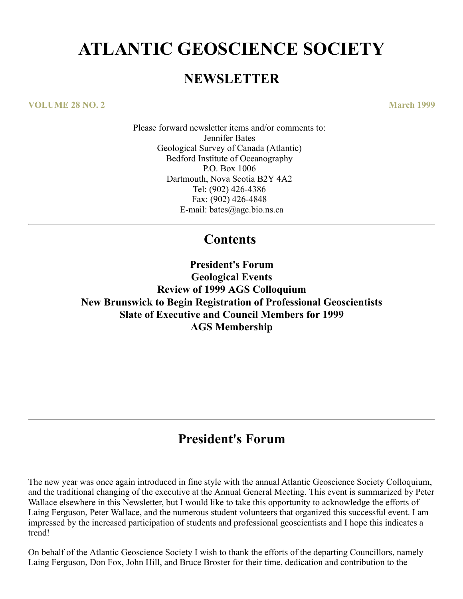# **ATLANTIC GEOSCIENCE SOCIETY**

### **NEWSLETTER**

**VOLUME 28 NO. 2 March 1999**

Please forward newsletter items and/or comments to: Jennifer Bates Geological Survey of Canada (Atlantic) Bedford Institute of Oceanography P.O. Box 1006 Dartmouth, Nova Scotia B2Y 4A2 Tel: (902) 426-4386 Fax: (902) 426-4848 E-mail: bates@agc.bio.ns.ca

### **Contents**

**President's Forum Geological Events Review of 1999 AGS Colloquium New Brunswick to Begin Registration of Professional Geoscientists Slate of Executive and Council Members for 1999 AGS Membership**

# **President's Forum**

The new year was once again introduced in fine style with the annual Atlantic Geoscience Society Colloquium, and the traditional changing of the executive at the Annual General Meeting. This event is summarized by Peter Wallace elsewhere in this Newsletter, but I would like to take this opportunity to acknowledge the efforts of Laing Ferguson, Peter Wallace, and the numerous student volunteers that organized this successful event. I am impressed by the increased participation of students and professional geoscientists and I hope this indicates a trend!

On behalf of the Atlantic Geoscience Society I wish to thank the efforts of the departing Councillors, namely Laing Ferguson, Don Fox, John Hill, and Bruce Broster for their time, dedication and contribution to the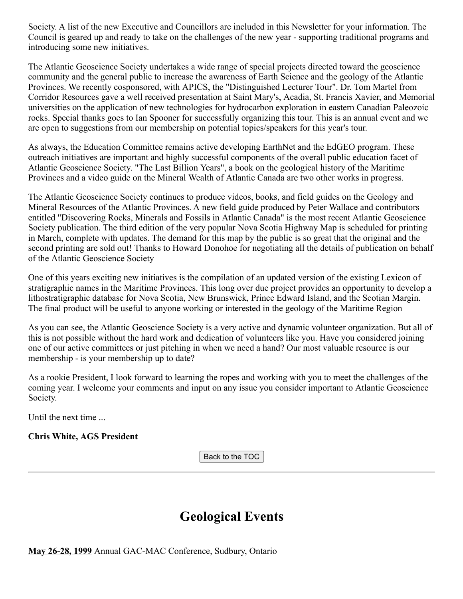Society. A list of the new Executive and Councillors are included in this Newsletter for your information. The Council is geared up and ready to take on the challenges of the new year - supporting traditional programs and introducing some new initiatives.

The Atlantic Geoscience Society undertakes a wide range of special projects directed toward the geoscience community and the general public to increase the awareness of Earth Science and the geology of the Atlantic Provinces. We recently cosponsored, with APICS, the "Distinguished Lecturer Tour". Dr. Tom Martel from Corridor Resources gave a well received presentation at Saint Mary's, Acadia, St. Francis Xavier, and Memorial universities on the application of new technologies for hydrocarbon exploration in eastern Canadian Paleozoic rocks. Special thanks goes to Ian Spooner for successfully organizing this tour. This is an annual event and we are open to suggestions from our membership on potential topics/speakers for this year's tour.

As always, the Education Committee remains active developing EarthNet and the EdGEO program. These outreach initiatives are important and highly successful components of the overall public education facet of Atlantic Geoscience Society. "The Last Billion Years", a book on the geological history of the Maritime Provinces and a video guide on the Mineral Wealth of Atlantic Canada are two other works in progress.

The Atlantic Geoscience Society continues to produce videos, books, and field guides on the Geology and Mineral Resources of the Atlantic Provinces. A new field guide produced by Peter Wallace and contributors entitled "Discovering Rocks, Minerals and Fossils in Atlantic Canada" is the most recent Atlantic Geoscience Society publication. The third edition of the very popular Nova Scotia Highway Map is scheduled for printing in March, complete with updates. The demand for this map by the public is so great that the original and the second printing are sold out! Thanks to Howard Donohoe for negotiating all the details of publication on behalf of the Atlantic Geoscience Society

One of this years exciting new initiatives is the compilation of an updated version of the existing Lexicon of stratigraphic names in the Maritime Provinces. This long over due project provides an opportunity to develop a lithostratigraphic database for Nova Scotia, New Brunswick, Prince Edward Island, and the Scotian Margin. The final product will be useful to anyone working or interested in the geology of the Maritime Region

As you can see, the Atlantic Geoscience Society is a very active and dynamic volunteer organization. But all of this is not possible without the hard work and dedication of volunteers like you. Have you considered joining one of our active committees or just pitching in when we need a hand? Our most valuable resource is our membership - is your membership up to date?

As a rookie President, I look forward to learning the ropes and working with you to meet the challenges of the coming year. I welcome your comments and input on any issue you consider important to Atlantic Geoscience Society.

Until the next time ...

**Chris White, AGS President**

Back to the TOC

### **Geological Events**

**May 26-28, 1999** Annual GAC-MAC Conference, Sudbury, Ontario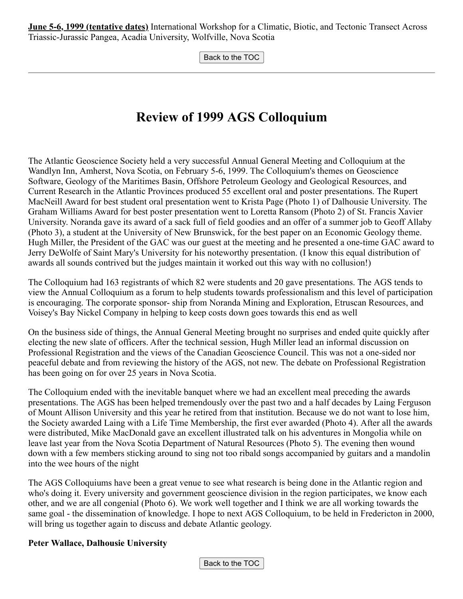**June 5-6, 1999 (tentative dates)** International Workshop for a Climatic, Biotic, and Tectonic Transect Across Triassic-Jurassic Pangea, Acadia University, Wolfville, Nova Scotia

Back to the TOC

# **Review of 1999 AGS Colloquium**

The Atlantic Geoscience Society held a very successful Annual General Meeting and Colloquium at the Wandlyn Inn, Amherst, Nova Scotia, on February 5-6, 1999. The Colloquium's themes on Geoscience Software, Geology of the Maritimes Basin, Offshore Petroleum Geology and Geological Resources, and Current Research in the Atlantic Provinces produced 55 excellent oral and poster presentations. The Rupert MacNeill Award for best student oral presentation went to Krista Page (Photo 1) of Dalhousie University. The Graham Williams Award for best poster presentation went to Loretta Ransom (Photo 2) of St. Francis Xavier University. Noranda gave its award of a sack full of field goodies and an offer of a summer job to Geoff Allaby (Photo 3), a student at the University of New Brunswick, for the best paper on an Economic Geology theme. Hugh Miller, the President of the GAC was our guest at the meeting and he presented a one-time GAC award to Jerry DeWolfe of Saint Mary's University for his noteworthy presentation. (I know this equal distribution of awards all sounds contrived but the judges maintain it worked out this way with no collusion!)

The Colloquium had 163 registrants of which 82 were students and 20 gave presentations. The AGS tends to view the Annual Colloquium as a forum to help students towards professionalism and this level of participation is encouraging. The corporate sponsor- ship from Noranda Mining and Exploration, Etruscan Resources, and Voisey's Bay Nickel Company in helping to keep costs down goes towards this end as well

On the business side of things, the Annual General Meeting brought no surprises and ended quite quickly after electing the new slate of officers. After the technical session, Hugh Miller lead an informal discussion on Professional Registration and the views of the Canadian Geoscience Council. This was not a one-sided nor peaceful debate and from reviewing the history of the AGS, not new. The debate on Professional Registration has been going on for over 25 years in Nova Scotia.

The Colloquium ended with the inevitable banquet where we had an excellent meal preceding the awards presentations. The AGS has been helped tremendously over the past two and a half decades by Laing Ferguson of Mount Allison University and this year he retired from that institution. Because we do not want to lose him, the Society awarded Laing with a Life Time Membership, the first ever awarded (Photo 4). After all the awards were distributed, Mike MacDonald gave an excellent illustrated talk on his adventures in Mongolia while on leave last year from the Nova Scotia Department of Natural Resources (Photo 5). The evening then wound down with a few members sticking around to sing not too ribald songs accompanied by guitars and a mandolin into the wee hours of the night

The AGS Colloquiums have been a great venue to see what research is being done in the Atlantic region and who's doing it. Every university and government geoscience division in the region participates, we know each other, and we are all congenial (Photo 6). We work well together and I think we are all working towards the same goal - the dissemination of knowledge. I hope to next AGS Colloquium, to be held in Fredericton in 2000, will bring us together again to discuss and debate Atlantic geology.

#### **Peter Wallace, Dalhousie University**

Back to the TOC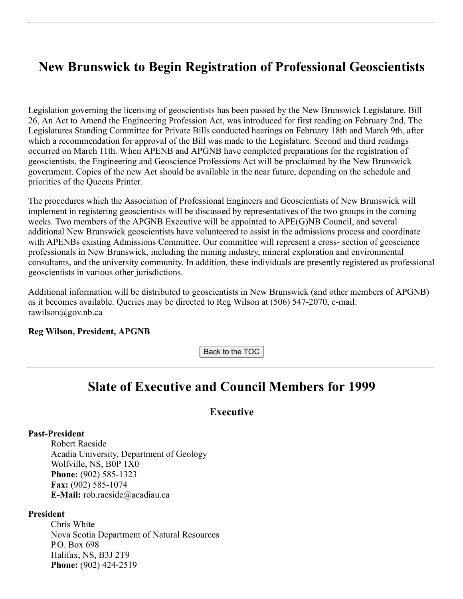### **New Brunswick to Begin Registration of Professional Geoscientists**

Legislation governing the licensing of geoscientists has been passed by the New Brunswick Legislature. Bill 26, An Act to Amend the Engineering Profession Act, was introduced for first reading on February 2nd. The Legislatures Standing Committee for Private Bills conducted hearings on February 18th and March 9th, after which a recommendation for approval of the Bill was made to the Legislature. Second and third readings occurred on March 11th. When APENB and APGNB have completed preparations for the registration of geoscientists, the Engineering and Geoscience Professions Act will be proclaimed by the New Brunswick government. Copies of the new Act should be available in the near future, depending on the schedule and priorities of the Queens Printer.

The procedures which the Association of Professional Engineers and Geoscientists of New Brunswick will implement in registering geoscientists will be discussed by representatives of the two groups in the coming weeks. Two members of the APGNB Executive will be appointed to APE(G)NB Council, and several additional New Brunswick geoscientists have volunteered to assist in the admissions process and coordinate with APENBs existing Admissions Committee. Our committee will represent a cross- section of geoscience professionals in New Brunswick, including the mining industry, mineral exploration and environmental consultants, and the university community. In addition, these individuals are presently registered as professional geoscientists in various other jurisdictions.

Additional information will be distributed to geoscientists in New Brunswick (and other members of APGNB) as it becomes available. Queries may be directed to Reg Wilson at (506) 547-2070, e-mail: rawilson@gov.nb.ca

#### **Reg Wilson, President, APGNB**

Back to the TOC

### **Slate of Executive and Council Members for 1999**

#### **Executive**

#### **Past-President**

Robert Raeside Acadia University, Department of Geology Wolfville, NS, B0P 1X0 **Phone:** (902) 585-1323 **Fax:** (902) 585-1074 **E-Mail:** rob.raeside@acadiau.ca

#### **President**

Chris White Nova Scotia Department of Natural Resources P.O. Box 698 Halifax, NS, B3J 2T9 **Phone:** (902) 424-2519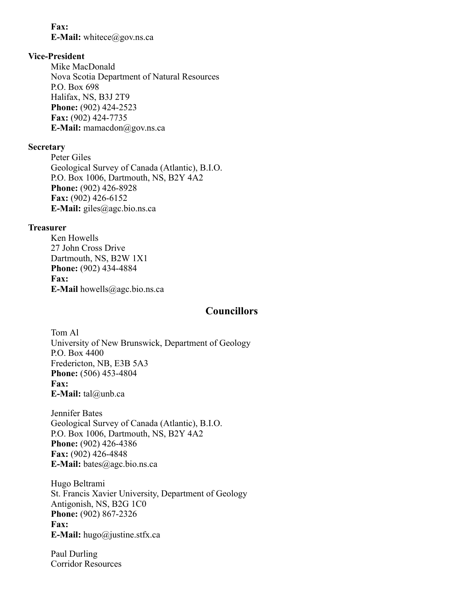#### **Fax:**

**E-Mail:** whitece@gov.ns.ca

#### **Vice-President**

Mike MacDonald Nova Scotia Department of Natural Resources P.O. Box 698 Halifax, NS, B3J 2T9 **Phone:** (902) 424-2523 **Fax:** (902) 424-7735 **E-Mail:** mamacdon@gov.ns.ca

#### **Secretary**

Peter Giles Geological Survey of Canada (Atlantic), B.I.O. P.O. Box 1006, Dartmouth, NS, B2Y 4A2 **Phone:** (902) 426-8928 **Fax:** (902) 426-6152 **E-Mail:** giles@agc.bio.ns.ca

#### **Treasurer**

Ken Howells 27 John Cross Drive Dartmouth, NS, B2W 1X1 **Phone:** (902) 434-4884 **Fax: E-Mail** howells@agc.bio.ns.ca

#### **Councillors**

Tom Al University of New Brunswick, Department of Geology P.O. Box 4400 Fredericton, NB, E3B 5A3 **Phone:** (506) 453-4804 **Fax: E-Mail:** tal@unb.ca

Jennifer Bates Geological Survey of Canada (Atlantic), B.I.O. P.O. Box 1006, Dartmouth, NS, B2Y 4A2 **Phone:** (902) 426-4386 **Fax:** (902) 426-4848 **E-Mail:** bates@agc.bio.ns.ca

Hugo Beltrami St. Francis Xavier University, Department of Geology Antigonish, NS, B2G 1C0 **Phone:** (902) 867-2326 **Fax: E-Mail:** hugo@justine.stfx.ca

Paul Durling Corridor Resources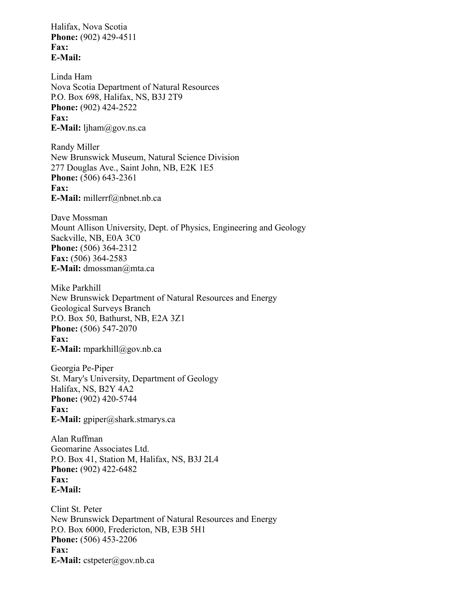Halifax, Nova Scotia **Phone:** (902) 429-4511 **Fax: E-Mail:**

Linda Ham Nova Scotia Department of Natural Resources P.O. Box 698, Halifax, NS, B3J 2T9 **Phone:** (902) 424-2522 **Fax: E-Mail:** ljham@gov.ns.ca

Randy Miller New Brunswick Museum, Natural Science Division 277 Douglas Ave., Saint John, NB, E2K 1E5 **Phone:** (506) 643-2361 **Fax: E-Mail:** millerrf@nbnet.nb.ca

Dave Mossman Mount Allison University, Dept. of Physics, Engineering and Geology Sackville, NB, E0A 3C0 **Phone:** (506) 364-2312 **Fax:** (506) 364-2583 **E-Mail:** dmossman@mta.ca

Mike Parkhill New Brunswick Department of Natural Resources and Energy Geological Surveys Branch P.O. Box 50, Bathurst, NB, E2A 3Z1 **Phone:** (506) 547-2070 **Fax: E-Mail:** mparkhill@gov.nb.ca

Georgia Pe-Piper St. Mary's University, Department of Geology Halifax, NS, B2Y 4A2 **Phone:** (902) 420-5744 **Fax: E-Mail:** gpiper@shark.stmarys.ca

Alan Ruffman Geomarine Associates Ltd. P.O. Box 41, Station M, Halifax, NS, B3J 2L4 **Phone:** (902) 422-6482 **Fax: E-Mail:**

Clint St. Peter New Brunswick Department of Natural Resources and Energy P.O. Box 6000, Fredericton, NB, E3B 5H1 **Phone:** (506) 453-2206 **Fax: E-Mail:** cstpeter@gov.nb.ca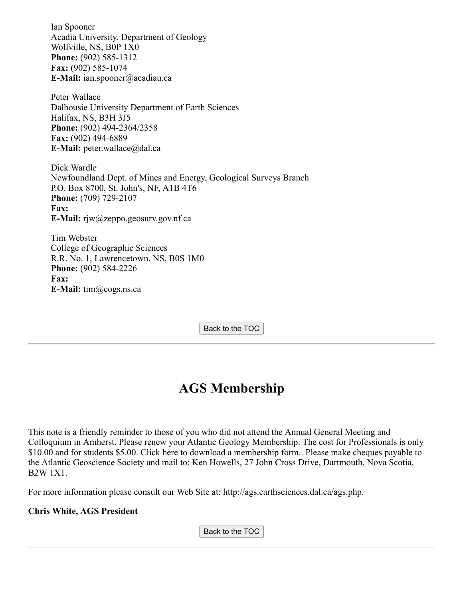Ian Spooner Acadia University, Department of Geology Wolfville, NS, B0P 1X0 **Phone:** (902) 585-1312 **Fax:** (902) 585-1074 **E-Mail:** ian.spooner@acadiau.ca

Peter Wallace Dalhousie University Department of Earth Sciences Halifax, NS, B3H 3J5 **Phone:** (902) 494-2364/2358 **Fax:** (902) 494-6889 **E-Mail:** peter.wallace@dal.ca

Dick Wardle Newfoundland Dept. of Mines and Energy, Geological Surveys Branch P.O. Box 8700, St. John's, NF, A1B 4T6 **Phone:** (709) 729-2107 **Fax: E-Mail:** rjw@zeppo.geosurv.gov.nf.ca

Tim Webster College of Geographic Sciences R.R. No. 1, Lawrencetown, NS, B0S 1M0 **Phone:** (902) 584-2226 **Fax: E-Mail:** tim@cogs.ns.ca

Back to the TOC

# **AGS Membership**

This note is a friendly reminder to those of you who did not attend the Annual General Meeting and Colloquium in Amherst. Please renew your Atlantic Geology Membership. The cost for Professionals is only \$10.00 and for students \$5.00. Click here to download a membership form.. Please make cheques payable to the Atlantic Geoscience Society and mail to: Ken Howells, 27 John Cross Drive, Dartmouth, Nova Scotia, B2W 1X1.

For more information please consult our Web Site at: http://ags.earthsciences.dal.ca/ags.php.

#### **Chris White, AGS President**

Back to the TOC